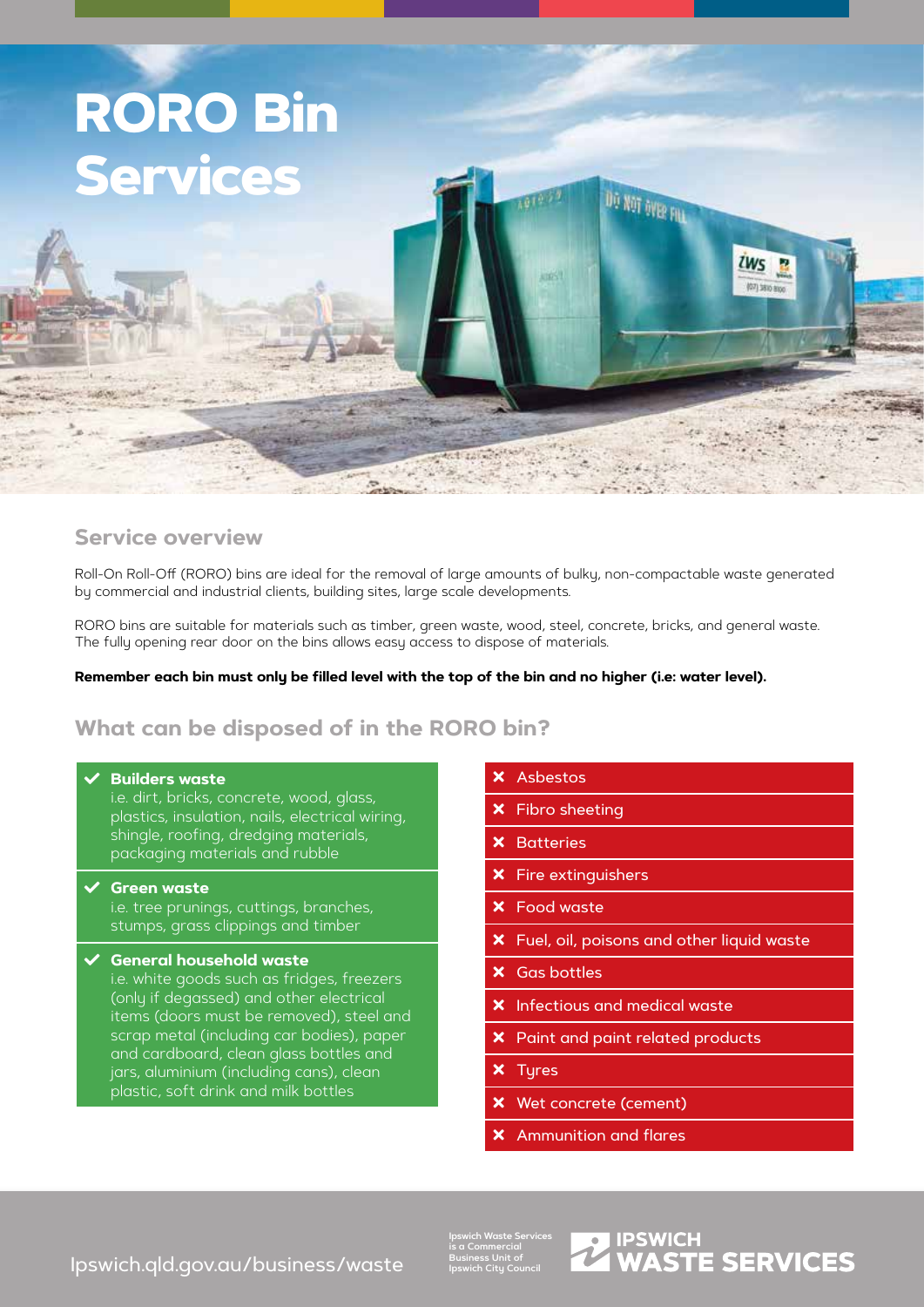

# **Service overview**

Roll-On Roll-Off (RORO) bins are ideal for the removal of large amounts of bulky, non-compactable waste generated by commercial and industrial clients, building sites, large scale developments.

RORO bins are suitable for materials such as timber, green waste, wood, steel, concrete, bricks, and general waste. The fully opening rear door on the bins allows easy access to dispose of materials.

#### **Remember each bin must only be filled level with the top of the bin and no higher (i.e: water level).**

# **What can be disposed of in the RORO bin?**

#### **← Builders waste**

i.e. dirt, bricks, concrete, wood, glass, plastics, insulation, nails, electrical wiring, shingle, roofing, dredging materials, packaging materials and rubble

**C**reen waste

i.e. tree prunings, cuttings, branches, stumps, grass clippings and timber

#### General household waste

i.e. white goods such as fridges, freezers (only if degassed) and other electrical items (doors must be removed), steel and scrap metal (including car bodies), paper and cardboard, clean glass bottles and jars, aluminium (including cans), clean plastic, soft drink and milk bottles

- **x** Asbestos
- Fibro sheeting
- **X** Batteries
- $x$  Fire extinguishers
- **x** Food waste
- Fuel, oil, poisons and other liquid waste
- $x$  Gas bottles
- $x$  Infectious and medical waste
- **x** Paint and paint related products
- **x** Tyres
- Wet concrete (cement)
- Ammunition and flares

[Ipswich.qld.gov.au/business/waste](http://Ipswich.qld.gov.au/business/waste)

**Ipswich Waste Services is a Commercial Business Unit of Ipswich City Council**